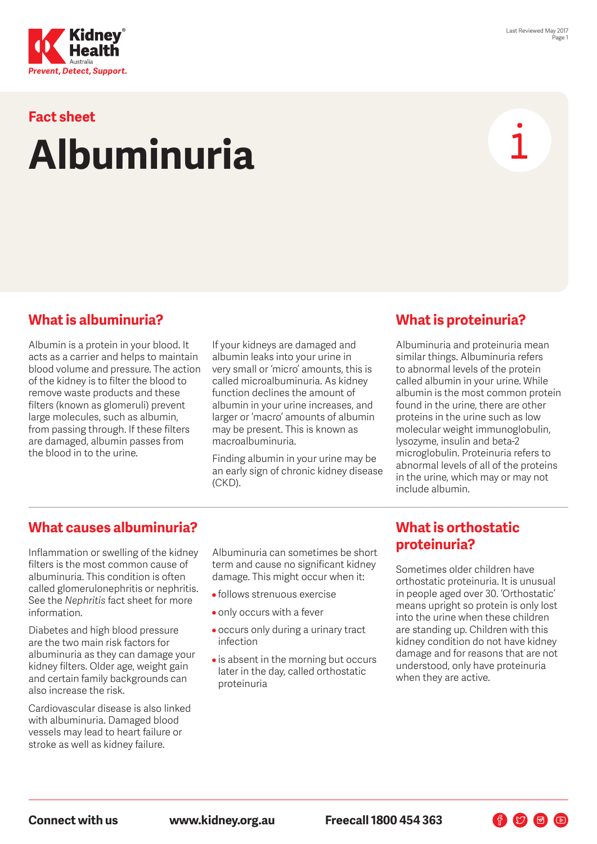

# **Fact sheet Albuminuria**

#### **What is albuminuria?**

Albumin is a protein in your blood. It acts as a carrier and helps to maintain blood volume and pressure. The action of the kidney is to filter the blood to remove waste products and these filters (known as glomeruli) prevent large molecules, such as albumin, from passing through. If these filters are damaged, albumin passes from the blood in to the urine.

If your kidneys are damaged and albumin leaks into your urine in very small or 'micro' amounts, this is called microalbuminuria. As kidney function declines the amount of albumin in your urine increases, and larger or 'macro' amounts of albumin may be present. This is known as macroalbuminuria.

Finding albumin in your urine may be an early sign of chronic kidney disease (CKD).

### **What is proteinuria?**

Albuminuria and proteinuria mean similar things. Albuminuria refers to abnormal levels of the protein called albumin in your urine. While albumin is the most common protein found in the urine, there are other proteins in the urine such as low molecular weight immunoglobulin, lysozyme, insulin and beta-2 microglobulin. Proteinuria refers to abnormal levels of all of the proteins in the urine, which may or may not include albumin.

#### **What causes albuminuria?**

Inflammation or swelling of the kidney filters is the most common cause of albuminuria. This condition is often called glomerulonephritis or nephritis. See the *Nephritis* fact sheet for more information.

Diabetes and high blood pressure are the two main risk factors for albuminuria as they can damage your kidney filters. Older age, weight gain and certain family backgrounds can also increase the risk.

Cardiovascular disease is also linked with albuminuria. Damaged blood vessels may lead to heart failure or stroke as well as kidney failure.

Albuminuria can sometimes be short term and cause no significant kidney damage. This might occur when it:

- follows strenuous exercise
- only occurs with a fever
- occurs only during a urinary tract infection
- is absent in the morning but occurs later in the day, called orthostatic proteinuria

#### **What is orthostatic proteinuria?**

Sometimes older children have orthostatic proteinuria. It is unusual in people aged over 30. 'Orthostatic' means upright so protein is only lost into the urine when these children are standing up. Children with this kidney condition do not have kidney damage and for reasons that are not understood, only have proteinuria when they are active.

 $\n **F**$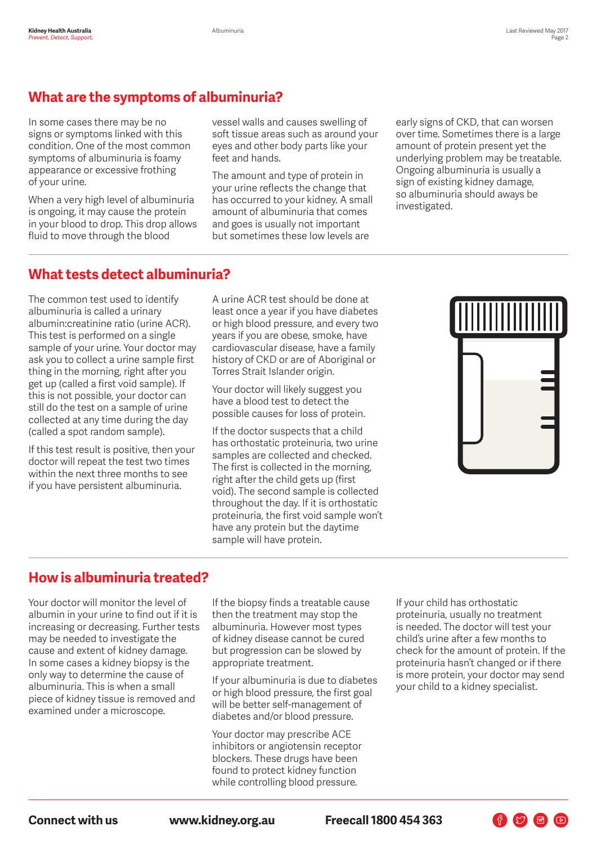## **What are the symptoms of albuminuria?**

In some cases there may be no signs or symptoms linked with this condition. One of the most common symptoms of albuminuria is foamy appearance or excessive frothing of your urine.

When a very high level of albuminuria is ongoing, it may cause the protein in your blood to drop. This drop allows fluid to move through the blood

vessel walls and causes swelling of soft tissue areas such as around your eyes and other body parts like your feet and hands.

The amount and type of protein in your urine reflects the change that has occurred to your kidney. A small amount of albuminuria that comes and goes is usually not important but sometimes these low levels are

early signs of CKD, that can worsen over time. Sometimes there is a large amount of protein present yet the underlying problem may be treatable. Ongoing albuminuria is usually a sign of existing kidney damage, so albuminuria should aways be investigated.

#### **What tests detect albuminuria?**

The common test used to identify albuminuria is called a urinary albumin:creatinine ratio (urine ACR). This test is performed on a single sample of your urine. Your doctor may ask you to collect a urine sample first thing in the morning, right after you get up (called a first void sample). If this is not possible, your doctor can still do the test on a sample of urine collected at any time during the day (called a spot random sample).

If this test result is positive, then your doctor will repeat the test two times within the next three months to see if you have persistent albuminuria.

A urine ACR test should be done at least once a year if you have diabetes or high blood pressure, and every two years if you are obese, smoke, have cardiovascular disease, have a family history of CKD or are of Aboriginal or Torres Strait Islander origin.

Your doctor will likely suggest you have a blood test to detect the possible causes for loss of protein.

If the doctor suspects that a child has orthostatic proteinuria, two urine samples are collected and checked. The first is collected in the morning, right after the child gets up (first void). The second sample is collected throughout the day. If it is orthostatic proteinuria, the first void sample won't have any protein but the daytime sample will have protein.



### **How is albuminuria treated?**

Your doctor will monitor the level of albumin in your urine to find out if it is increasing or decreasing. Further tests may be needed to investigate the cause and extent of kidney damage. In some cases a kidney biopsy is the only way to determine the cause of albuminuria. This is when a small piece of kidney tissue is removed and examined under a microscope.

If the biopsy finds a treatable cause then the treatment may stop the albuminuria. However most types of kidney disease cannot be cured but progression can be slowed by appropriate treatment.

If your albuminuria is due to diabetes or high blood pressure, the first goal will be better self-management of diabetes and/or blood pressure.

Your doctor may prescribe ACE inhibitors or angiotensin receptor blockers. These drugs have been found to protect kidney function while controlling blood pressure.

If your child has orthostatic proteinuria, usually no treatment is needed. The doctor will test your child's urine after a few months to check for the amount of protein. If the proteinuria hasn't changed or if there is more protein, your doctor may send your child to a kidney specialist.

 $\bigoplus$   $\bigcirc$   $\bigoplus$   $\bigcirc$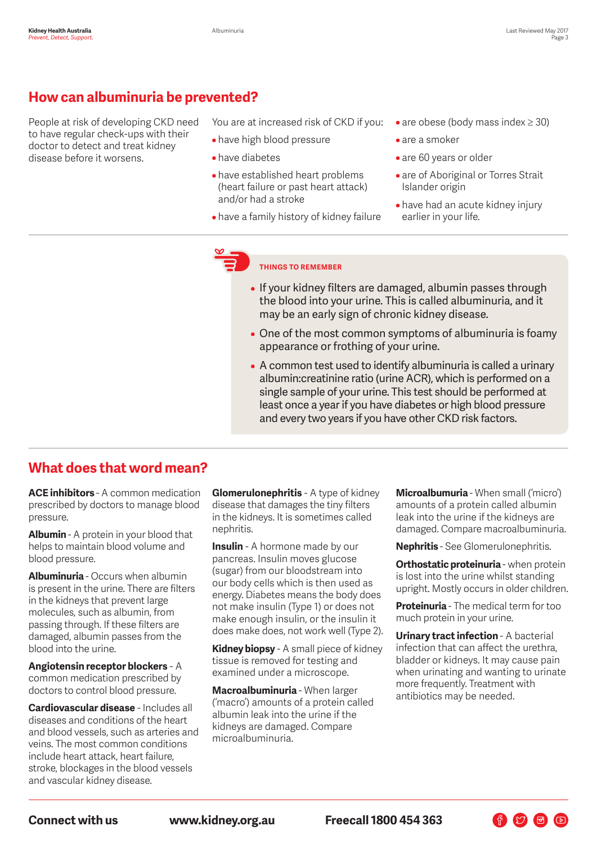### **How can albuminuria be prevented?**

People at risk of developing CKD need to have regular check-ups with their doctor to detect and treat kidney disease before it worsens.

You are at increased risk of CKD if you:

- have high blood pressure
- have diabetes
- have established heart problems (heart failure or past heart attack) and/or had a stroke
- have a family history of kidney failure
- are obese (body mass index ≥ 30)
- are a smoker
- are 60 years or older
- are of Aboriginal or Torres Strait Islander origin
- have had an acute kidney injury earlier in your life.

#### **THINGS TO REMEMBER**

- If your kidney filters are damaged, albumin passes through the blood into your urine. This is called albuminuria, and it may be an early sign of chronic kidney disease.
- One of the most common symptoms of albuminuria is foamy appearance or frothing of your urine.
- A common test used to identify albuminuria is called a urinary albumin:creatinine ratio (urine ACR), which is performed on a single sample of your urine. This test should be performed at least once a year if you have diabetes or high blood pressure and every two years if you have other CKD risk factors.

#### **What does that word mean?**

**ACE inhibitors** - A common medication prescribed by doctors to manage blood pressure.

**Albumin** - A protein in your blood that helps to maintain blood volume and blood pressure.

**Albuminuria** - Occurs when albumin is present in the urine. There are filters in the kidneys that prevent large molecules, such as albumin, from passing through. If these filters are damaged, albumin passes from the blood into the urine.

**Angiotensin receptor blockers** - A common medication prescribed by doctors to control blood pressure.

**Cardiovascular disease** - Includes all diseases and conditions of the heart and blood vessels, such as arteries and veins. The most common conditions include heart attack, heart failure, stroke, blockages in the blood vessels and vascular kidney disease.

**Glomerulonephritis** - A type of kidney disease that damages the tiny filters in the kidneys. It is sometimes called nephritis.

**Insulin** - A hormone made by our pancreas. Insulin moves glucose (sugar) from our bloodstream into our body cells which is then used as energy. Diabetes means the body does not make insulin (Type 1) or does not make enough insulin, or the insulin it does make does, not work well (Type 2).

**Kidney biopsy** - A small piece of kidney tissue is removed for testing and examined under a microscope.

**Macroalbuminuria** - When larger ('macro') amounts of a protein called albumin leak into the urine if the kidneys are damaged. Compare microalbuminuria.

**Microalbumuria** - When small ('micro') amounts of a protein called albumin leak into the urine if the kidneys are damaged. Compare macroalbuminuria.

**Nephritis** - See Glomerulonephritis.

**Orthostatic proteinuria** - when protein is lost into the urine whilst standing upright. Mostly occurs in older children.

**Proteinuria** - The medical term for too much protein in your urine.

**Urinary tract infection - A bacterial** infection that can affect the urethra, bladder or kidneys. It may cause pain when urinating and wanting to urinate more frequently. Treatment with antibiotics may be needed.

 $\begin{picture}(60,6) \put(0,0){\line(1,0){10}} \put(15,0){\line(1,0){10}} \put(15,0){\line(1,0){10}} \put(15,0){\line(1,0){10}} \put(15,0){\line(1,0){10}} \put(15,0){\line(1,0){10}} \put(15,0){\line(1,0){10}} \put(15,0){\line(1,0){10}} \put(15,0){\line(1,0){10}} \put(15,0){\line(1,0){10}} \put(15,0){\line(1,0){10}} \put(15,0){\line(1,$ 

**Connect with us www.kidney.org.au Freecall 1800 454 363**